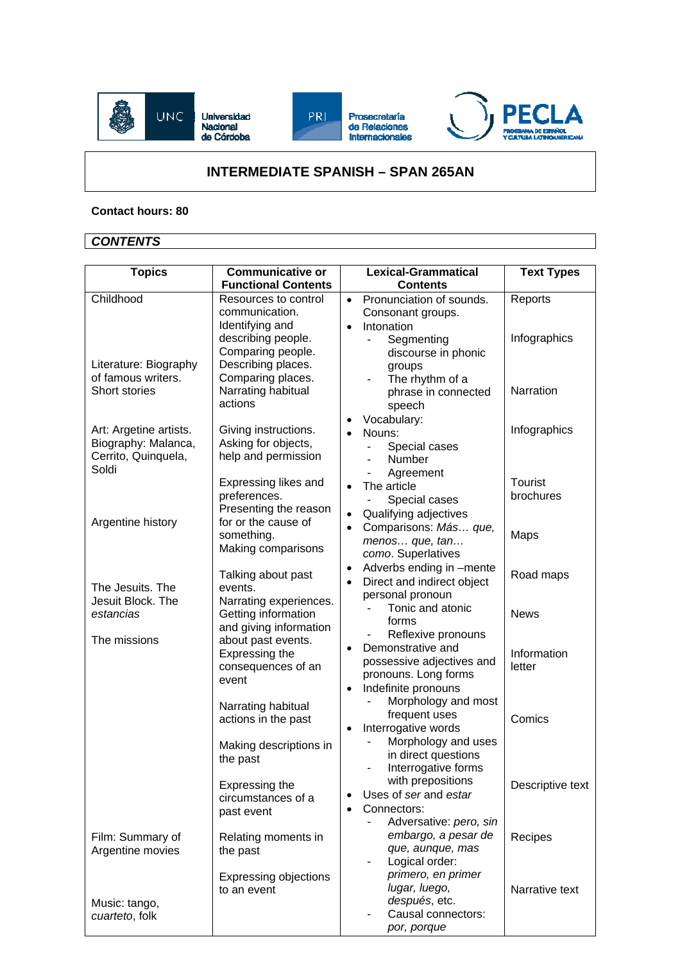

## **INTERMEDIATE SPANISH – SPAN 265AN**

## **Contact hours: 80**

## *CONTENTS*

| <b>Topics</b>                                                                 | Communicative or<br><b>Functional Contents</b>                                                        | <b>Lexical-Grammatical</b><br><b>Contents</b>                                                                           | <b>Text Types</b>           |
|-------------------------------------------------------------------------------|-------------------------------------------------------------------------------------------------------|-------------------------------------------------------------------------------------------------------------------------|-----------------------------|
| Childhood                                                                     | Resources to control<br>communication.                                                                | Pronunciation of sounds.<br>$\bullet$<br>Consonant groups.                                                              | Reports                     |
| Literature: Biography<br>of famous writers.                                   | Identifying and<br>describing people.<br>Comparing people.<br>Describing places.<br>Comparing places. | Intonation<br>$\bullet$<br>Segmenting<br>÷,<br>discourse in phonic<br>groups<br>The rhythm of a                         | Infographics                |
| Short stories                                                                 | Narrating habitual<br>actions                                                                         | phrase in connected<br>speech<br>Vocabulary:<br>$\bullet$                                                               | Narration                   |
| Art: Argetine artists.<br>Biography: Malanca,<br>Cerrito, Quinquela,<br>Soldi | Giving instructions.<br>Asking for objects,<br>help and permission                                    | Nouns:<br>Special cases<br>$\blacksquare$<br>Number<br>$\overline{\phantom{a}}$<br>Agreement                            | Infographics                |
| Argentine history                                                             | Expressing likes and<br>preferences.<br>Presenting the reason<br>for or the cause of                  | The article<br>$\bullet$<br>Special cases<br>Qualifying adjectives<br>$\bullet$                                         | <b>Tourist</b><br>brochures |
|                                                                               | something.<br>Making comparisons                                                                      | Comparisons: Más que,<br>$\bullet$<br>menos que, tan<br>como. Superlatives                                              | Maps                        |
| The Jesuits. The<br>Jesuit Block. The                                         | Talking about past<br>events.<br>Narrating experiences.                                               | Adverbs ending in -mente<br>$\bullet$<br>Direct and indirect object<br>$\bullet$<br>personal pronoun                    | Road maps                   |
| estancias                                                                     | Getting information<br>and giving information                                                         | Tonic and atonic<br>forms<br>Reflexive pronouns                                                                         | <b>News</b>                 |
| The missions                                                                  | about past events.<br>Expressing the<br>consequences of an<br>event                                   | Demonstrative and<br>$\bullet$<br>possessive adjectives and<br>pronouns. Long forms<br>Indefinite pronouns<br>$\bullet$ | Information<br>letter       |
|                                                                               | Narrating habitual<br>actions in the past<br>Making descriptions in                                   | Morphology and most<br>frequent uses<br>Interrogative words<br>$\bullet$<br>Morphology and uses<br>in direct questions  | Comics                      |
|                                                                               | the past<br>Expressing the<br>circumstances of a<br>past event                                        | Interrogative forms<br>with prepositions<br>Uses of ser and estar<br>$\bullet$<br>Connectors:                           | Descriptive text            |
| Film: Summary of<br>Argentine movies                                          | Relating moments in<br>the past                                                                       | Adversative: pero, sin<br>embargo, a pesar de<br>que, aunque, mas<br>Logical order:                                     | Recipes                     |
| Music: tango,<br>cuarteto, folk                                               | Expressing objections<br>to an event                                                                  | primero, en primer<br>lugar, luego,<br>después, etc.<br>Causal connectors:<br>por, porque                               | Narrative text              |